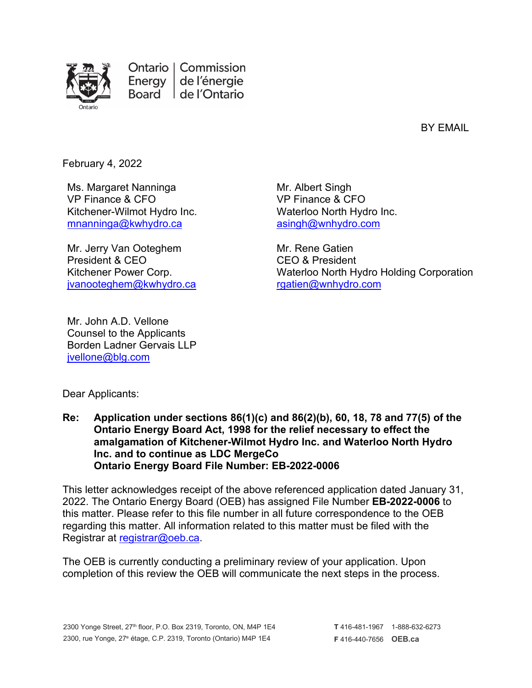

Ontario | Commission Energy de l'énergie Board | de l'Ontario

BY EMAIL

February 4, 2022

Ms. Margaret Nanninga VP Finance & CFO Kitchener-Wilmot Hydro Inc. [mnanninga@kwhydro.ca](mailto:mnanninga@kwhydro.ca)

Mr. Jerry Van Ooteghem President & CEO Kitchener Power Corp. [jvanooteghem@kwhydro.ca](mailto:jvanooteghem@kwhydro.ca)

Mr. Albert Singh VP Finance & CFO Waterloo North Hydro Inc. [asingh@wnhydro.com](mailto:asingh@wnhydro.com)

Mr. Rene Gatien CEO & President Waterloo North Hydro Holding Corporation [rgatien@wnhydro.com](mailto:rgatien@wnhydro.com)

Mr. John A.D. Vellone Counsel to the Applicants Borden Ladner Gervais LLP ivellone@blg.com

Dear Applicants:

**Re: Application under sections 86(1)(c) and 86(2)(b), 60, 18, 78 and 77(5) of the Ontario Energy Board Act, 1998 for the relief necessary to effect the amalgamation of Kitchener-Wilmot Hydro Inc. and Waterloo North Hydro Inc. and to continue as LDC MergeCo Ontario Energy Board File Number: EB-2022-0006**

This letter acknowledges receipt of the above referenced application dated January 31, 2022. The Ontario Energy Board (OEB) has assigned File Number **EB-2022-0006** to this matter. Please refer to this file number in all future correspondence to the OEB regarding this matter. All information related to this matter must be filed with the Registrar at [registrar@oeb.ca.](mailto:boardsec@oeb.ca)

The OEB is currently conducting a preliminary review of your application. Upon completion of this review the OEB will communicate the next steps in the process.